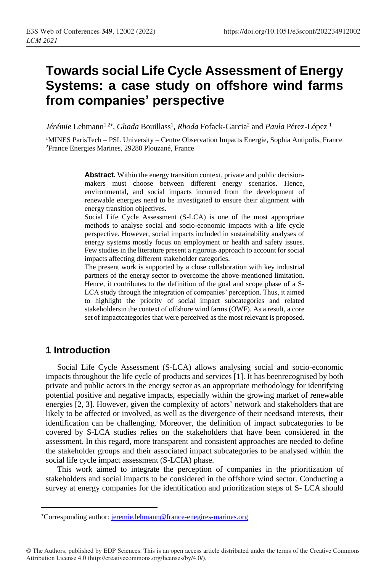# **Towards social Life Cycle Assessment of Energy Systems: a case study on offshore wind farms from companies' perspective**

J*érémie* Lehmann<sup>1,2\*</sup>, *Ghada* Bouillass<sup>1</sup>, *Rhoda* Fofack-Garcia<sup>2</sup> and *Paula* Pérez-López <sup>1</sup>

<sup>1</sup>MINES ParisTech – PSL University – Centre Observation Impacts Energie, Sophia Antipolis, France <sup>2</sup>France Energies Marines, 29280 Plouzané, France

> **Abstract.** Within the energy transition context, private and public decisionmakers must choose between different energy scenarios. Hence, environmental, and social impacts incurred from the development of renewable energies need to be investigated to ensure their alignment with energy transition objectives.

> Social Life Cycle Assessment (S-LCA) is one of the most appropriate methods to analyse social and socio-economic impacts with a life cycle perspective. However, social impacts included in sustainability analyses of energy systems mostly focus on employment or health and safety issues. Few studies in the literature present a rigorous approach to account for social impacts affecting different stakeholder categories.

> The present work is supported by a close collaboration with key industrial partners of the energy sector to overcome the above-mentioned limitation. Hence, it contributes to the definition of the goal and scope phase of a S-LCA study through the integration of companies' perception. Thus, it aimed to highlight the priority of social impact subcategories and related stakeholdersin the context of offshore wind farms (OWF). As a result, a core set of impactcategories that were perceived as the most relevant is proposed.

## **1 Introduction**

Social Life Cycle Assessment (S-LCA) allows analysing social and socio-economic impacts throughout the life cycle of products and services [1]. It has beenrecognised by both private and public actors in the energy sector as an appropriate methodology for identifying potential positive and negative impacts, especially within the growing market of renewable energies [2, 3]. However, given the complexity of actors' network and stakeholders that are likely to be affected or involved, as well as the divergence of their needsand interests, their identification can be challenging. Moreover, the definition of impact subcategories to be covered by S-LCA studies relies on the stakeholders that have been considered in the assessment. In this regard, more transparent and consistent approaches are needed to define the stakeholder groups and their associated impact subcategories to be analysed within the social life cycle impact assessment (S-LCIA) phase.

This work aimed to integrate the perception of companies in the prioritization of stakeholders and social impacts to be considered in the offshore wind sector. Conducting a survey at energy companies for the identification and prioritization steps of S- LCA should

© The Authors, published by EDP Sciences. This is an open access article distributed under the terms of the Creative Commons Attribution License 4.0 (http://c[reativecommons.org/licenses/by/4.0/\).](mailto:jeremie.lehmann@france-enegires-marines.org)

Corresponding author: jeremie.lehmann@france-enegires-marines.org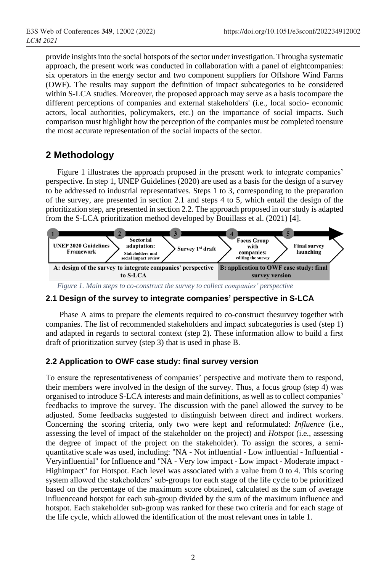provide insightsinto the social hotspots of the sector under investigation. Througha systematic approach, the present work was conducted in collaboration with a panel of eightcompanies: six operators in the energy sector and two component suppliers for Offshore Wind Farms (OWF). The results may support the definition of impact subcategories to be considered within S-LCA studies. Moreover, the proposed approach may serve as a basis tocompare the different perceptions of companies and external stakeholders' (i.e., local socio- economic actors, local authorities, policymakers, etc.) on the importance of social impacts. Such comparison must highlight how the perception of the companies must be completed toensure the most accurate representation of the social impacts of the sector.

# **2 Methodology**

Figure 1 illustrates the approach proposed in the present work to integrate companies' perspective. In step 1, UNEP Guidelines (2020) are used as a basis for the design of a survey to be addressed to industrial representatives. Steps 1 to 3, corresponding to the preparation of the survey, are presented in section 2.1 and steps 4 to 5, which entail the design of the prioritization step, are presented in section 2.2. The approach proposed in our study is adapted from the S-LCA prioritization method developed by Bouillass et al. (2021) [4].



### **2.1 Design of the survey to integrate companies' perspective in S-LCA**

Phase A aims to prepare the elements required to co-construct thesurvey together with companies. The list of recommended stakeholders and impact subcategories is used (step 1) and adapted in regards to sectoral context (step 2). These information allow to build a first draft of prioritization survey (step 3) that is used in phase B.

### **2.2 Application to OWF case study: final survey version**

To ensure the representativeness of companies' perspective and motivate them to respond, their members were involved in the design of the survey. Thus, a focus group (step 4) was organised to introduce S-LCA interests and main definitions, as well as to collect companies' feedbacks to improve the survey. The discussion with the panel allowed the survey to be adjusted. Some feedbacks suggested to distinguish between direct and indirect workers. Concerning the scoring criteria, only two were kept and reformulated: *Influence* (i.e., assessing the level of impact of the stakeholder on the project) and *Hotspot* (i.e., assessing the degree of impact of the project on the stakeholder). To assign the scores, a semiquantitative scale was used, including: "NA - Not influential - Low influential - Influential - Veryinfluential" for Influence and "NA - Very low impact - Low impact - Moderate impact - Highimpact" for Hotspot. Each level was associated with a value from 0 to 4. This scoring system allowed the stakeholders' sub-groups for each stage of the life cycle to be prioritized based on the percentage of the maximum score obtained, calculated as the sum of average influenceand hotspot for each sub-group divided by the sum of the maximum influence and hotspot. Each stakeholder sub-group was ranked for these two criteria and for each stage of the life cycle, which allowed the identification of the most relevant ones in table 1.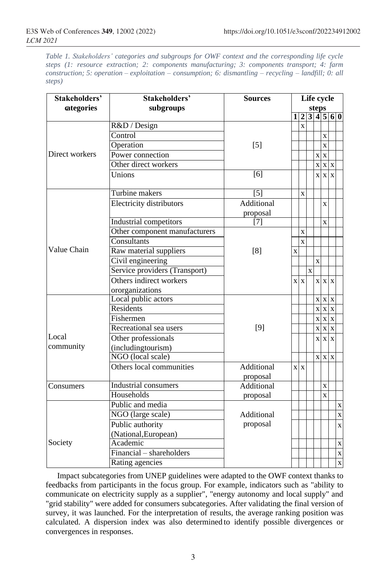*Table 1. Stakeholders' categories and subgroups for OWF context and the corresponding life cycle steps (1: resource extraction; 2: components manufacturing; 3: components transport; 4: farm construction; 5: operation – exploitation – consumption; 6: dismantling – recycling – landfill; 0: all steps)*

| Stakeholders'    | Stakeholders'                   | <b>Sources</b>         |   | Life cycle              |              |                    |             |           |             |  |
|------------------|---------------------------------|------------------------|---|-------------------------|--------------|--------------------|-------------|-----------|-------------|--|
| <b>ategories</b> | subgroups                       |                        |   | steps                   |              |                    |             |           |             |  |
|                  |                                 |                        | 1 | $\overline{2}$          |              |                    |             | 3 4 5 6 0 |             |  |
|                  | R&D / Design                    |                        |   | $\overline{\mathbf{x}}$ |              |                    |             |           |             |  |
|                  | Control                         |                        |   |                         |              |                    | X           |           |             |  |
|                  | Operation                       | $\lceil 5 \rceil$      |   |                         |              |                    | $\bar{X}$   |           |             |  |
| Direct workers   | Power connection                |                        |   |                         |              |                    | $X$ $X$     |           |             |  |
|                  | Other direct workers            |                        |   |                         |              | $\bar{\mathbf{X}}$ | $X$ $X$     |           |             |  |
|                  | Unions                          | [6]                    |   |                         |              |                    | <b>x</b> x  |           |             |  |
|                  | Turbine makers                  | $[5]$                  |   | X                       |              |                    |             |           |             |  |
|                  | <b>Electricity distributors</b> | Additional<br>proposal |   |                         |              |                    | X           |           |             |  |
|                  | Industrial competitors          |                        |   |                         |              |                    | $\bar{x}$   |           |             |  |
|                  | Other component manufacturers   |                        |   | $\overline{X}$          |              |                    |             |           |             |  |
|                  | Consultants                     | [8]                    |   | $\overline{\mathbf{X}}$ |              |                    |             |           |             |  |
| Value Chain      | Raw material suppliers          |                        |   |                         |              |                    |             |           |             |  |
|                  | Civil engineering               |                        |   |                         |              | $\bar{\mathbf{X}}$ |             |           |             |  |
|                  | Service providers (Transport)   |                        |   |                         | $\mathbf{x}$ |                    |             |           |             |  |
|                  | Others indirect workers         |                        |   | XX                      |              |                    | <b>x x</b>  |           |             |  |
|                  | ororganizations                 |                        |   |                         |              |                    |             |           |             |  |
|                  | Local public actors             |                        |   |                         |              |                    | $X$ $X$ $X$ |           |             |  |
|                  | Residents                       |                        |   |                         |              |                    | $X$ $X$ $X$ |           |             |  |
|                  | Fishermen                       |                        |   |                         |              |                    | $X$ $X$ $X$ |           |             |  |
|                  | Recreational sea users          | [9]                    |   |                         |              |                    | $X$ $X$ $X$ |           |             |  |
| Local            | Other professionals             |                        |   |                         |              |                    | $X$ $X$ $X$ |           |             |  |
| community        | (includingtourism)              |                        |   |                         |              |                    |             |           |             |  |
|                  | NGO (local scale)               |                        |   |                         |              |                    | x x x       |           |             |  |
|                  | Others local communities        | Additional<br>proposal |   | $x \mid x$              |              |                    |             |           |             |  |
| Consumers        | <b>Industrial consumers</b>     | Additional             |   |                         |              |                    | X           |           |             |  |
|                  | Households                      | proposal               |   |                         |              |                    | $\bar{X}$   |           |             |  |
|                  | Public and media                |                        |   |                         |              |                    |             |           | $\mathbf X$ |  |
|                  | NGO (large scale)               | Additional             |   |                         |              |                    |             |           | $\mathbf X$ |  |
|                  | Public authority                | proposal               |   |                         |              |                    |             |           | $\mathbf X$ |  |
|                  | (National, European)            |                        |   |                         |              |                    |             |           |             |  |
| Society          | Academic                        |                        |   |                         |              |                    |             |           | $\mathbf X$ |  |
|                  | Financial - shareholders        |                        |   |                         |              |                    |             |           | $\mathbf X$ |  |
|                  | Rating agencies                 |                        |   |                         |              |                    |             |           | X           |  |

Impact subcategories from UNEP guidelines were adapted to the OWF context thanks to feedbacks from participants in the focus group. For example, indicators such as "ability to communicate on electricity supply as a supplier", "energy autonomy and local supply" and "grid stability" were added for consumers subcategories. After validating the final version of survey, it was launched. For the interpretation of results, the average ranking position was calculated. A dispersion index was also determined to identify possible divergences or convergences in responses.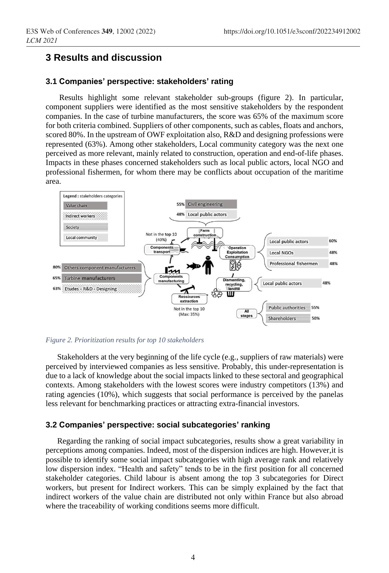# **3 Results and discussion**

#### **3.1 Companies' perspective: stakeholders' rating**

Results highlight some relevant stakeholder sub-groups (figure 2). In particular, component suppliers were identified as the most sensitive stakeholders by the respondent companies. In the case of turbine manufacturers, the score was 65% of the maximum score for both criteria combined. Suppliers of other components, such as cables, floats and anchors, scored 80%. In the upstream of OWF exploitation also, R&D and designing professions were represented (63%). Among other stakeholders, Local community category was the next one perceived as more relevant, mainly related to construction, operation and end-of-life phases. Impacts in these phases concerned stakeholders such as local public actors, local NGO and professional fishermen, for whom there may be conflicts about occupation of the maritime area.



#### *Figure 2. Prioritization results for top 10 stakeholders*

Stakeholders at the very beginning of the life cycle (e.g., suppliers of raw materials) were perceived by interviewed companies as less sensitive. Probably, this under-representation is due to a lack of knowledge about the social impacts linked to these sectoral and geographical contexts. Among stakeholders with the lowest scores were industry competitors (13%) and rating agencies (10%), which suggests that social performance is perceived by the panelas less relevant for benchmarking practices or attracting extra-financial investors.

#### **3.2 Companies' perspective: social subcategories' ranking**

Regarding the ranking of social impact subcategories, results show a great variability in perceptions among companies. Indeed, most of the dispersion indices are high. However,it is possible to identify some social impact subcategories with high average rank and relatively low dispersion index. "Health and safety" tends to be in the first position for all concerned stakeholder categories. Child labour is absent among the top 3 subcategories for Direct workers, but present for Indirect workers. This can be simply explained by the fact that indirect workers of the value chain are distributed not only within France but also abroad where the traceability of working conditions seems more difficult.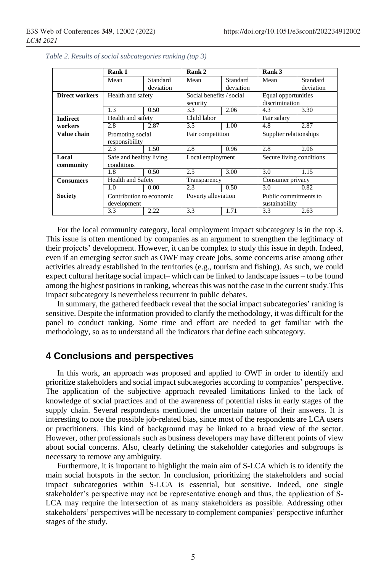|                       | Rank 1                   |                         | Rank 2              |                          | Rank 3                 |                          |  |  |
|-----------------------|--------------------------|-------------------------|---------------------|--------------------------|------------------------|--------------------------|--|--|
|                       | Mean                     | Standard                | Mean                | Standard                 | Mean                   | Standard                 |  |  |
|                       |                          | deviation               |                     | deviation                |                        | deviation                |  |  |
| <b>Direct workers</b> |                          | Health and safety       |                     | Social benefits / social |                        | Equal opportunities      |  |  |
|                       |                          |                         | security            |                          | discrimination         |                          |  |  |
|                       | 1.3                      | 0.50                    | 3.3                 | 2.06                     | 4.3                    | 3.30                     |  |  |
| <b>Indirect</b>       |                          | Health and safety       |                     | Child labor              |                        | Fair salary              |  |  |
| workers               | 2.8                      | 2.87                    | 3.5                 | 1.00                     | 4.8                    | 2.87                     |  |  |
| Value chain           | Promoting social         |                         | Fair competition    |                          | Supplier relationships |                          |  |  |
|                       | responsibility           |                         |                     |                          |                        |                          |  |  |
|                       | 2.3                      | 1.50                    | 2.8                 | 0.96                     | 2.8                    | 2.06                     |  |  |
| Local                 |                          | Safe and healthy living |                     | Local employment         |                        | Secure living conditions |  |  |
| community             | conditions               |                         |                     |                          |                        |                          |  |  |
|                       | 1.8                      | 0.50                    | 2.5                 | 3.00                     | 3.0                    | 1.15                     |  |  |
| <b>Consumers</b>      | Health and Safety        |                         | Transparency        |                          | Consumer privacy       |                          |  |  |
|                       | 1.0                      | 0.00                    | 2.3                 | 0.50                     | 3.0                    | 0.82                     |  |  |
| <b>Society</b>        | Contribution to economic |                         | Poverty alleviation |                          | Public commitments to  |                          |  |  |
|                       | development              |                         |                     |                          | sustainability         |                          |  |  |
|                       | 3.3                      | 2.22                    | 3.3                 | 1.71                     | 3.3                    | 2.63                     |  |  |

|  |  |  | Table 2. Results of social subcategories ranking (top 3) |  |  |
|--|--|--|----------------------------------------------------------|--|--|
|--|--|--|----------------------------------------------------------|--|--|

For the local community category, local employment impact subcategory is in the top 3. This issue is often mentioned by companies as an argument to strengthen the legitimacy of their projects' development. However, it can be complex to study this issue in depth. Indeed, even if an emerging sector such as OWF may create jobs, some concerns arise among other activities already established in the territories (e.g., tourism and fishing). As such, we could expect cultural heritage social impact– which can be linked to landscape issues – to be found among the highest positions in ranking, whereas this was not the case in the current study. This impact subcategory is nevertheless recurrent in public debates.

In summary, the gathered feedback reveal that the social impact subcategories' ranking is sensitive. Despite the information provided to clarify the methodology, it was difficult for the panel to conduct ranking. Some time and effort are needed to get familiar with the methodology, so as to understand all the indicators that define each subcategory.

### **4 Conclusions and perspectives**

In this work, an approach was proposed and applied to OWF in order to identify and prioritize stakeholders and social impact subcategories according to companies' perspective. The application of the subjective approach revealed limitations linked to the lack of knowledge of social practices and of the awareness of potential risks in early stages of the supply chain. Several respondents mentioned the uncertain nature of their answers. It is interesting to note the possible job-related bias, since most of the respondents are LCA users or practitioners. This kind of background may be linked to a broad view of the sector. However, other professionals such as business developers may have different points of view about social concerns. Also, clearly defining the stakeholder categories and subgroups is necessary to remove any ambiguity.

Furthermore, it is important to highlight the main aim of S-LCA which is to identify the main social hotspots in the sector. In conclusion, prioritizing the stakeholders and social impact subcategories within S-LCA is essential, but sensitive. Indeed, one single stakeholder's perspective may not be representative enough and thus, the application of S-LCA may require the intersection of as many stakeholders as possible. Addressing other stakeholders' perspectives will be necessary to complement companies' perspective infurther stages of the study.